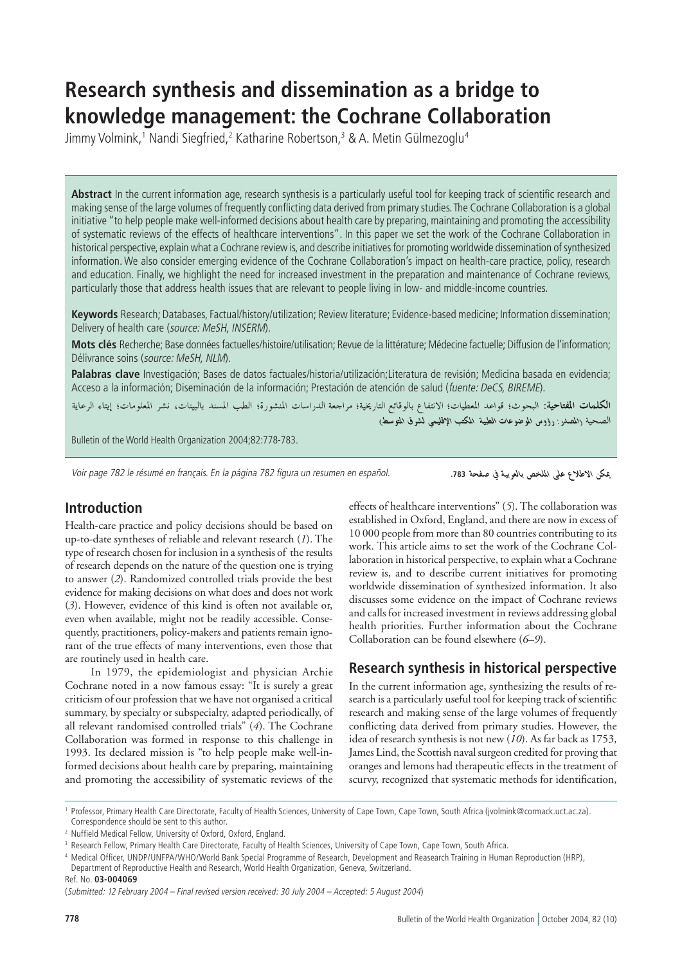# **Research synthesis and dissemination as a bridge to knowledge management: the Cochrane Collaboration**

Jimmy Volmink,1 Nandi Siegfried,<sup>2</sup> Katharine Robertson,<sup>3</sup> & A. Metin Gülmezoglu<sup>4</sup>

Abstract In the current information age, research synthesis is a particularly useful tool for keeping track of scientific research and making sense of the large volumes of frequently conflicting data derived from primary studies. The Cochrane Collaboration is a global initiative "to help people make well-informed decisions about health care by preparing, maintaining and promoting the accessibility of systematic reviews of the effects of healthcare interventions". In this paper we set the work of the Cochrane Collaboration in historical perspective, explain what a Cochrane review is, and describe initiatives for promoting worldwide dissemination of synthesized information. We also consider emerging evidence of the Cochrane Collaboration's impact on health-care practice, policy, research and education. Finally, we highlight the need for increased investment in the preparation and maintenance of Cochrane reviews, particularly those that address health issues that are relevant to people living in low- and middle-income countries.

Keywords Research; Databases, Factual/history/utilization; Review literature; Evidence-based medicine; Information dissemination; Delivery of health care (source: MeSH, INSERM).

**Mots clés** Recherche; Base données factuelles/histoire/utilisation; Revue de la littérature; Médecine factuelle; Diffusion de l'information; Délivrance soins (source: MeSH, NLM).

**Palabras clave** Investigación; Bases de datos factuales/historia/utilización;Literatura de revisión; Medicina basada en evidencia; Acceso a la información; Diseminación de la información; Prestación de atención de salud (fuente: DeCS, BIREME).

**الكلمات المفتاحية**: البحوث؛ قواعد المعطيات؛ الانتفاع بالوقائع التاريخية؛ مراجعة الدراسات المنشورة؛ الطب المسند بالبينات، نشر المعلومات؛ إيتاء الرعاية الصحية (المصدر : رؤوس الموضوعات الطبية المكتب الاقليمي لشرق المتوسط)

Bulletin of the World Health Organization 2004;82:778-783.

Voir page 782 le résumé en français. En la página 782 figura un resumen en español.

يمكن الاطلاع على الملخص بالعربية في صفحة 783.

# **Introduction**

Health-care practice and policy decisions should be based on up-to-date syntheses of reliable and relevant research (*1*). The type of research chosen for inclusion in a synthesis of the results of research depends on the nature of the question one is trying to answer (*2*). Randomized controlled trials provide the best evidence for making decisions on what does and does not work (*3*). However, evidence of this kind is often not available or, even when available, might not be readily accessible. Consequently, practitioners, policy-makers and patients remain ignorant of the true effects of many interventions, even those that are routinely used in health care.

In 1979, the epidemiologist and physician Archie Cochrane noted in a now famous essay: "It is surely a great criticism of our profession that we have not organised a critical summary, by specialty or subspecialty, adapted periodically, of all relevant randomised controlled trials" (*4*). The Cochrane Collaboration was formed in response to this challenge in 1993. Its declared mission is "to help people make well-informed decisions about health care by preparing, maintaining and promoting the accessibility of systematic reviews of the

effects of healthcare interventions" (*5*). The collaboration was established in Oxford, England, and there are now in excess of 10 000 people from more than 80 countries contributing to its work. This article aims to set the work of the Cochrane Collaboration in historical perspective, to explain what a Cochrane review is, and to describe current initiatives for promoting worldwide dissemination of synthesized information. It also discusses some evidence on the impact of Cochrane reviews and calls for increased investment in reviews addressing global health priorities. Further information about the Cochrane Collaboration can be found elsewhere (*6–9*).

# **Research synthesis in historical perspective**

In the current information age, synthesizing the results of research is a particularly useful tool for keeping track of scientific research and making sense of the large volumes of frequently conflicting data derived from primary studies. However, the idea of research synthesis is not new (*10*). As far back as 1753, James Lind, the Scottish naval surgeon credited for proving that oranges and lemons had therapeutic effects in the treatment of scurvy, recognized that systematic methods for identification,

Ref. No. **03-004069**

<sup>1</sup> Professor, Primary Health Care Directorate, Faculty of Health Sciences, University of Cape Town, Cape Town, South Africa (jvolmink@cormack.uct.ac.za). Correspondence should be sent to this author.

<sup>2</sup> Nuffield Medical Fellow, University of Oxford, Oxford, England.

<sup>&</sup>lt;sup>3</sup> Research Fellow, Primary Health Care Directorate, Faculty of Health Sciences, University of Cape Town, Cape Town, South Africa.

<sup>4</sup> Medical Officer, UNDP/UNFPA/WHO/World Bank Special Programme of Research, Development and Reasearch Training in Human Reproduction (HRP), Department of Reproductive Health and Research, World Health Organization, Geneva, Switzerland.

<sup>(</sup>Submitted: 12 February 2004 – Final revised version received: 30 July 2004 – Accepted: 5 August 2004)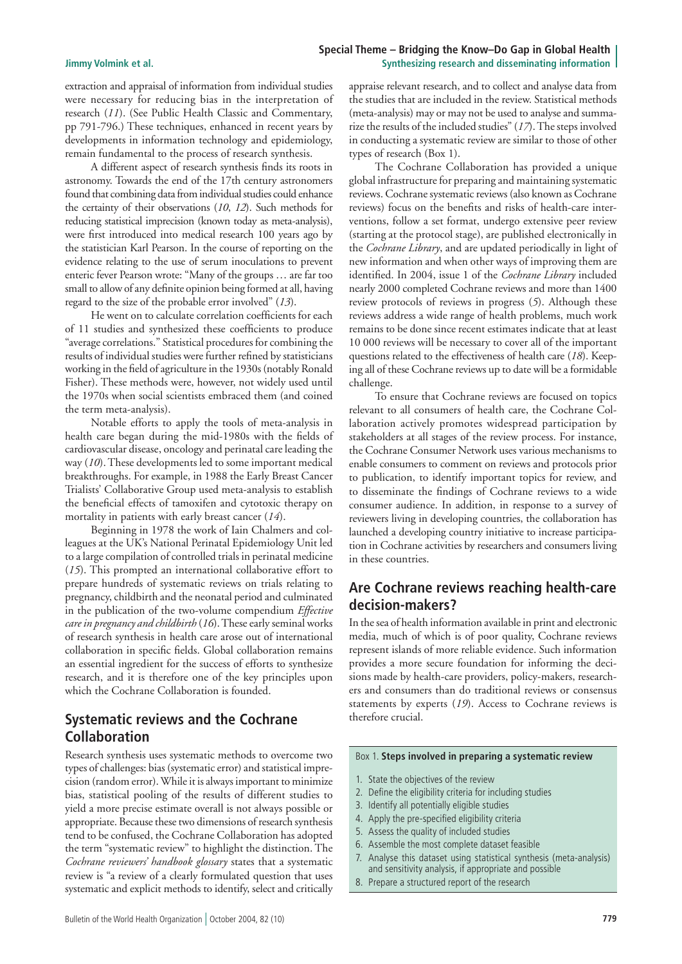### **Special Theme – Bridging the Know–Do Gap in Global Health Jimmy Volmink et al. Synthesizing research and disseminating information**

extraction and appraisal of information from individual studies were necessary for reducing bias in the interpretation of research (*11*). (See Public Health Classic and Commentary, pp 791-796.) These techniques, enhanced in recent years by developments in information technology and epidemiology, remain fundamental to the process of research synthesis.

A different aspect of research synthesis finds its roots in astronomy. Towards the end of the 17th century astronomers found that combining data from individual studies could enhance the certainty of their observations (*10*, *12*). Such methods for reducing statistical imprecision (known today as meta-analysis), were first introduced into medical research 100 years ago by the statistician Karl Pearson. In the course of reporting on the evidence relating to the use of serum inoculations to prevent enteric fever Pearson wrote: "Many of the groups … are far too small to allow of any definite opinion being formed at all, having regard to the size of the probable error involved" (*13*).

He went on to calculate correlation coefficients for each of 11 studies and synthesized these coefficients to produce "average correlations." Statistical procedures for combining the results of individual studies were further refined by statisticians working in the field of agriculture in the 1930s (notably Ronald Fisher). These methods were, however, not widely used until the 1970s when social scientists embraced them (and coined the term meta-analysis).

Notable efforts to apply the tools of meta-analysis in health care began during the mid-1980s with the fields of cardiovascular disease, oncology and perinatal care leading the way (*10*). These developments led to some important medical breakthroughs. For example, in 1988 the Early Breast Cancer Trialists' Collaborative Group used meta-analysis to establish the beneficial effects of tamoxifen and cytotoxic therapy on mortality in patients with early breast cancer (*14*).

Beginning in 1978 the work of Iain Chalmers and colleagues at the UK's National Perinatal Epidemiology Unit led to a large compilation of controlled trials in perinatal medicine (*15*). This prompted an international collaborative effort to prepare hundreds of systematic reviews on trials relating to pregnancy, childbirth and the neonatal period and culminated in the publication of the two-volume compendium *Effective care in pregnancy and childbirth* (*16*). These early seminal works of research synthesis in health care arose out of international collaboration in specific fields. Global collaboration remains an essential ingredient for the success of efforts to synthesize research, and it is therefore one of the key principles upon which the Cochrane Collaboration is founded.

# **Systematic reviews and the Cochrane Collaboration**

Research synthesis uses systematic methods to overcome two types of challenges: bias (systematic error) and statistical imprecision (random error). While it is always important to minimize bias, statistical pooling of the results of different studies to yield a more precise estimate overall is not always possible or appropriate. Because these two dimensions of research synthesis tend to be confused, the Cochrane Collaboration has adopted the term "systematic review" to highlight the distinction. The *Cochrane reviewers' handbook glossary* states that a systematic review is "a review of a clearly formulated question that uses systematic and explicit methods to identify, select and critically

appraise relevant research, and to collect and analyse data from the studies that are included in the review. Statistical methods (meta-analysis) may or may not be used to analyse and summarize the results of the included studies" (*17*). The steps involved in conducting a systematic review are similar to those of other types of research (Box 1).

The Cochrane Collaboration has provided a unique global infrastructure for preparing and maintaining systematic reviews. Cochrane systematic reviews (also known as Cochrane reviews) focus on the benefits and risks of health-care interventions, follow a set format, undergo extensive peer review (starting at the protocol stage), are published electronically in the *Cochrane Library*, and are updated periodically in light of new information and when other ways of improving them are identified. In 2004, issue 1 of the *Cochrane Library* included nearly 2000 completed Cochrane reviews and more than 1400 review protocols of reviews in progress (*5*). Although these reviews address a wide range of health problems, much work remains to be done since recent estimates indicate that at least 10 000 reviews will be necessary to cover all of the important questions related to the effectiveness of health care (*18*). Keeping all of these Cochrane reviews up to date will be a formidable challenge.

To ensure that Cochrane reviews are focused on topics relevant to all consumers of health care, the Cochrane Collaboration actively promotes widespread participation by stakeholders at all stages of the review process. For instance, the Cochrane Consumer Network uses various mechanisms to enable consumers to comment on reviews and protocols prior to publication, to identify important topics for review, and to disseminate the findings of Cochrane reviews to a wide consumer audience. In addition, in response to a survey of reviewers living in developing countries, the collaboration has launched a developing country initiative to increase participation in Cochrane activities by researchers and consumers living in these countries.

# **Are Cochrane reviews reaching health-care decision-makers?**

In the sea of health information available in print and electronic media, much of which is of poor quality, Cochrane reviews represent islands of more reliable evidence. Such information provides a more secure foundation for informing the decisions made by health-care providers, policy-makers, researchers and consumers than do traditional reviews or consensus statements by experts (*19*). Access to Cochrane reviews is therefore crucial.

### Box 1. **Steps involved in preparing a systematic review**

- 1. State the objectives of the review
- 2. Define the eligibility criteria for including studies
- 3. Identify all potentially eligible studies
- 4. Apply the pre-specified eligibility criteria
- 5. Assess the quality of included studies
- 6. Assemble the most complete dataset feasible
- 7. Analyse this dataset using statistical synthesis (meta-analysis) and sensitivity analysis, if appropriate and possible
- 8. Prepare a structured report of the research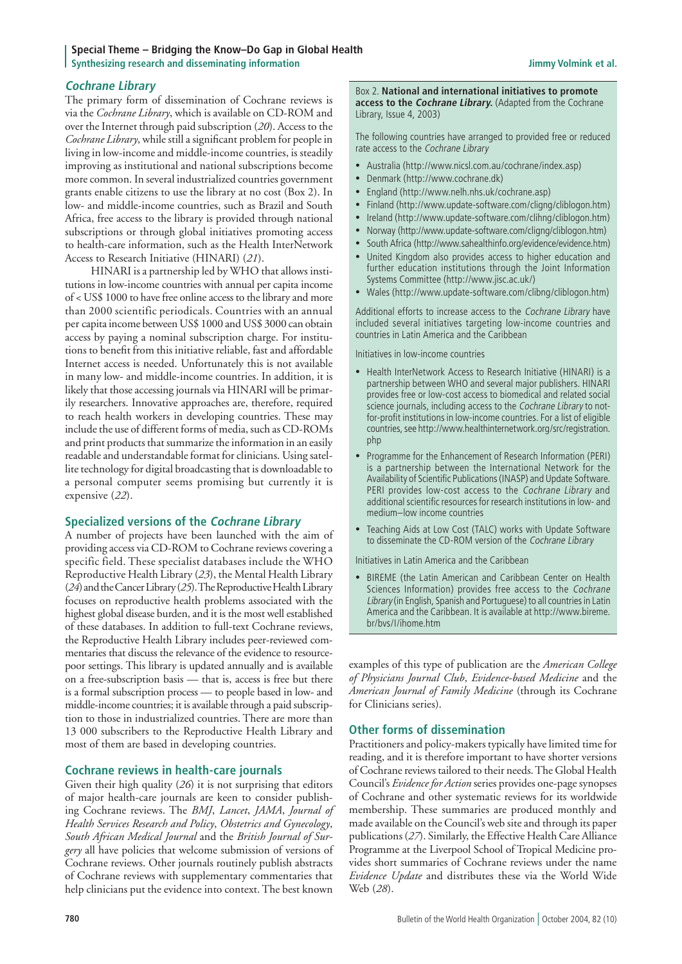### **Special Theme – Bridging the Know–Do Gap in Global Health Synthesizing research and disseminating information Synthesizing Jimmy Volmink et al. Jimmy Volmink et al.**

### **Cochrane Library**

The primary form of dissemination of Cochrane reviews is via the *Cochrane Library*, which is available on CD-ROM and over the Internet through paid subscription (*20*). Access to the *Cochrane Library*, while still a significant problem for people in living in low-income and middle-income countries, is steadily improving as institutional and national subscriptions become more common. In several industrialized countries government grants enable citizens to use the library at no cost (Box 2). In low- and middle-income countries, such as Brazil and South Africa, free access to the library is provided through national subscriptions or through global initiatives promoting access to health-care information, such as the Health InterNetwork Access to Research Initiative (HINARI) (*21*).

HINARI is a partnership led by WHO that allows institutions in low-income countries with annual per capita income of < US\$ 1000 to have free online access to the library and more than 2000 scientific periodicals. Countries with an annual per capita income between US\$ 1000 and US\$ 3000 can obtain access by paying a nominal subscription charge. For institutions to benefit from this initiative reliable, fast and affordable Internet access is needed. Unfortunately this is not available in many low- and middle-income countries. In addition, it is likely that those accessing journals via HINARI will be primarily researchers. Innovative approaches are, therefore, required to reach health workers in developing countries. These may include the use of different forms of media, such as CD-ROMs and print products that summarize the information in an easily readable and understandable format for clinicians. Using satellite technology for digital broadcasting that is downloadable to a personal computer seems promising but currently it is expensive (*22*).

### **Specialized versions of the Cochrane Library**

A number of projects have been launched with the aim of providing access via CD-ROM to Cochrane reviews covering a specific field. These specialist databases include the WHO Reproductive Health Library (*23*), the Mental Health Library (*24*) and the Cancer Library (*25*). The Reproductive Health Library focuses on reproductive health problems associated with the highest global disease burden, and it is the most well established of these databases. In addition to full-text Cochrane reviews, the Reproductive Health Library includes peer-reviewed commentaries that discuss the relevance of the evidence to resourcepoor settings. This library is updated annually and is available on a free-subscription basis — that is, access is free but there is a formal subscription process — to people based in low- and middle-income countries; it is available through a paid subscription to those in industrialized countries. There are more than 13 000 subscribers to the Reproductive Health Library and most of them are based in developing countries.

### **Cochrane reviews in health-care journals**

Given their high quality (*26*) it is not surprising that editors of major health-care journals are keen to consider publishing Cochrane reviews. The *BMJ*, *Lancet*, *JAMA*, *Journal of Health Services Research and Policy*, *Obstetrics and Gynecology*, *South African Medical Journal* and the *British Journal of Surgery* all have policies that welcome submission of versions of Cochrane reviews. Other journals routinely publish abstracts of Cochrane reviews with supplementary commentaries that help clinicians put the evidence into context. The best known

### Box 2. **National and international initiatives to promote access to the Cochrane Library.** (Adapted from the Cochrane Library, Issue 4, 2003)

The following countries have arranged to provided free or reduced rate access to the Cochrane Library

- Australia (http://www.nicsl.com.au/cochrane/index.asp)
- Denmark (http://www.cochrane.dk)
- England (http://www.nelh.nhs.uk/cochrane.asp)
- Finland (http://www.update-software.com/cligng/cliblogon.htm)
- Ireland (http://www.update-software.com/clihng/cliblogon.htm)
- Norway (http://www.update-software.com/cligng/cliblogon.htm)
- South Africa (http://www.sahealthinfo.org/evidence/evidence.htm)
- United Kingdom also provides access to higher education and further education institutions through the Joint Information Systems Committee (http://www.jisc.ac.uk/)
- Wales (http://www.update-software.com/clibng/cliblogon.htm)

Additional efforts to increase access to the Cochrane Library have included several initiatives targeting low-income countries and countries in Latin America and the Caribbean

Initiatives in low-income countries

- Health InterNetwork Access to Research Initiative (HINARI) is a partnership between WHO and several major publishers. HINARI provides free or low-cost access to biomedical and related social science journals, including access to the Cochrane Library to not for-profit institutions in low-income countries. For a list of eligible countries, see http://www.healthinternetwork.org/src/registration. php
- Programme for the Enhancement of Research Information (PERI) is a partnership between the International Network for the Availability of Scientific Publications (INASP) and Update Software. PERI provides low-cost access to the Cochrane Library and additional scientific resources for research institutions in low- and medium–low income countries
- Teaching Aids at Low Cost (TALC) works with Update Software to disseminate the CD-ROM version of the Cochrane Library

Initiatives in Latin America and the Caribbean

• BIREME (the Latin American and Caribbean Center on Health Sciences Information) provides free access to the Cochrane Library (in English, Spanish and Portuguese) to all countries in Latin America and the Caribbean. It is available at http://www.bireme. br/bvs/I/ihome.htm

examples of this type of publication are the *American College of Physicians Journal Club*, *Evidence-based Medicine* and the *American Journal of Family Medicine* (through its Cochrane for Clinicians series).

### **Other forms of dissemination**

Practitioners and policy-makers typically have limited time for reading, and it is therefore important to have shorter versions of Cochrane reviews tailored to their needs. The Global Health Council's *Evidence for Action* series provides one-page synopses of Cochrane and other systematic reviews for its worldwide membership. These summaries are produced monthly and made available on the Council's web site and through its paper publications (*27*). Similarly, the Effective Health Care Alliance Programme at the Liverpool School of Tropical Medicine provides short summaries of Cochrane reviews under the name *Evidence Update* and distributes these via the World Wide Web (*28*).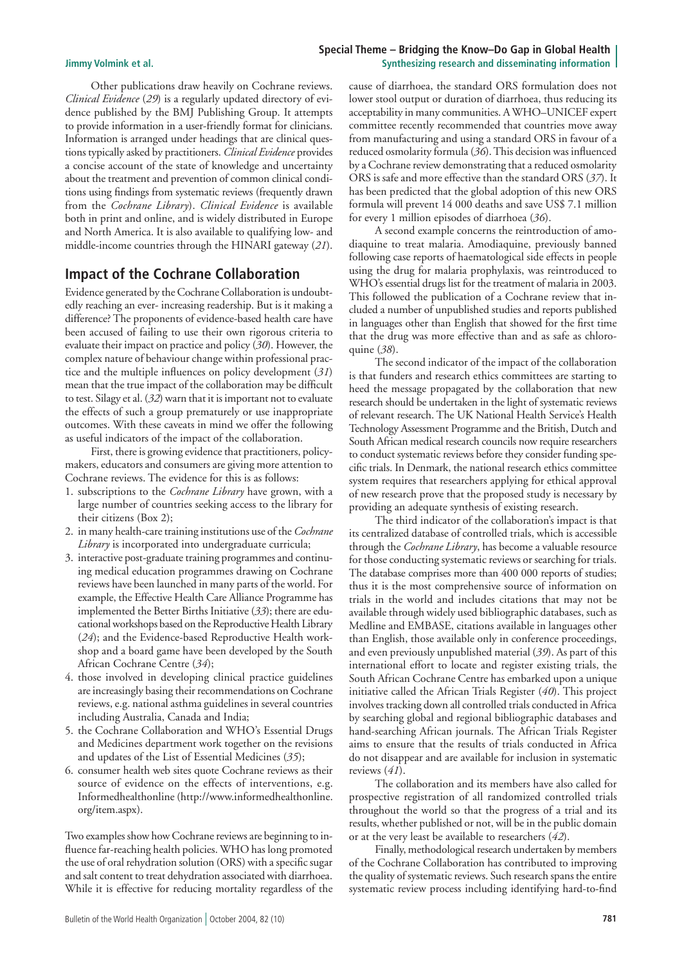### **Special Theme – Bridging the Know–Do Gap in Global Health Jimmy Volmink et al. Synthesizing research and disseminating information**

Other publications draw heavily on Cochrane reviews. *Clinical Evidence* (*29*) is a regularly updated directory of evidence published by the BMJ Publishing Group. It attempts to provide information in a user-friendly format for clinicians. Information is arranged under headings that are clinical questions typically asked by practitioners. *Clinical Evidence* provides a concise account of the state of knowledge and uncertainty about the treatment and prevention of common clinical conditions using findings from systematic reviews (frequently drawn from the *Cochrane Library*). *Clinical Evidence* is available both in print and online, and is widely distributed in Europe and North America. It is also available to qualifying low- and middle-income countries through the HINARI gateway (*21*).

## **Impact of the Cochrane Collaboration**

Evidence generated by the Cochrane Collaboration is undoubtedly reaching an ever- increasing readership. But is it making a difference? The proponents of evidence-based health care have been accused of failing to use their own rigorous criteria to evaluate their impact on practice and policy (*30*). However, the complex nature of behaviour change within professional practice and the multiple influences on policy development (*31*) mean that the true impact of the collaboration may be difficult to test. Silagy et al. (*32*) warn that it is important not to evaluate the effects of such a group prematurely or use inappropriate outcomes. With these caveats in mind we offer the following as useful indicators of the impact of the collaboration.

First, there is growing evidence that practitioners, policymakers, educators and consumers are giving more attention to Cochrane reviews. The evidence for this is as follows:

- 1. subscriptions to the *Cochrane Library* have grown, with a large number of countries seeking access to the library for their citizens (Box 2);
- 2. in many health-care training institutions use of the *Cochrane Library* is incorporated into undergraduate curricula;
- 3. interactive post-graduate training programmes and continu ing medical education programmes drawing on Cochrane reviews have been launched in many parts of the world. For example, the Effective Health Care Alliance Programme has implemented the Better Births Initiative (*33*); there are edu cational workshops based on the Reproductive Health Library (*24*); and the Evidence-based Reproductive Health work shop and a board game have been developed by the South African Cochrane Centre (*34*);
- 4. those involved in developing clinical practice guidelines are increasingly basing their recommendations on Cochrane reviews, e.g. national asthma guidelines in several countries including Australia, Canada and India;
- 5. the Cochrane Collaboration and WHO's Essential Drugs and Medicines department work together on the revisions and updates of the List of Essential Medicines (*35*);
- 6. consumer health web sites quote Cochrane reviews as their source of evidence on the effects of interventions, e.g. Informedhealthonline (http://www.informedhealthonline. org/item.aspx).

Two examples show how Cochrane reviews are beginning to influence far-reaching health policies. WHO has long promoted the use of oral rehydration solution (ORS) with a specific sugar and salt content to treat dehydration associated with diarrhoea. While it is effective for reducing mortality regardless of the

cause of diarrhoea, the standard ORS formulation does not lower stool output or duration of diarrhoea, thus reducing its acceptability in many communities. A WHO–UNICEF expert committee recently recommended that countries move away from manufacturing and using a standard ORS in favour of a reduced osmolarity formula (*36*). This decision was influenced by a Cochrane review demonstrating that a reduced osmolarity ORS is safe and more effective than the standard ORS (*37*). It has been predicted that the global adoption of this new ORS formula will prevent 14 000 deaths and save US\$ 7.1 million for every 1 million episodes of diarrhoea (*36*).

A second example concerns the reintroduction of amodiaquine to treat malaria. Amodiaquine, previously banned following case reports of haematological side effects in people using the drug for malaria prophylaxis, was reintroduced to WHO's essential drugs list for the treatment of malaria in 2003. This followed the publication of a Cochrane review that included a number of unpublished studies and reports published in languages other than English that showed for the first time that the drug was more effective than and as safe as chloroquine (*38*).

The second indicator of the impact of the collaboration is that funders and research ethics committees are starting to heed the message propagated by the collaboration that new research should be undertaken in the light of systematic reviews of relevant research. The UK National Health Service's Health Technology Assessment Programme and the British, Dutch and South African medical research councils now require researchers to conduct systematic reviews before they consider funding specific trials. In Denmark, the national research ethics committee system requires that researchers applying for ethical approval of new research prove that the proposed study is necessary by providing an adequate synthesis of existing research.

The third indicator of the collaboration's impact is that its centralized database of controlled trials, which is accessible through the *Cochrane Library*, has become a valuable resource for those conducting systematic reviews or searching for trials. The database comprises more than 400 000 reports of studies; thus it is the most comprehensive source of information on trials in the world and includes citations that may not be available through widely used bibliographic databases, such as Medline and EMBASE, citations available in languages other than English, those available only in conference proceedings, and even previously unpublished material (*39*). As part of this international effort to locate and register existing trials, the South African Cochrane Centre has embarked upon a unique initiative called the African Trials Register (*40*). This project involves tracking down all controlled trials conducted in Africa by searching global and regional bibliographic databases and hand-searching African journals. The African Trials Register aims to ensure that the results of trials conducted in Africa do not disappear and are available for inclusion in systematic reviews (*41*).

The collaboration and its members have also called for prospective registration of all randomized controlled trials throughout the world so that the progress of a trial and its results, whether published or not, will be in the public domain or at the very least be available to researchers (*42*).

Finally, methodological research undertaken by members of the Cochrane Collaboration has contributed to improving the quality of systematic reviews. Such research spans the entire systematic review process including identifying hard-to-find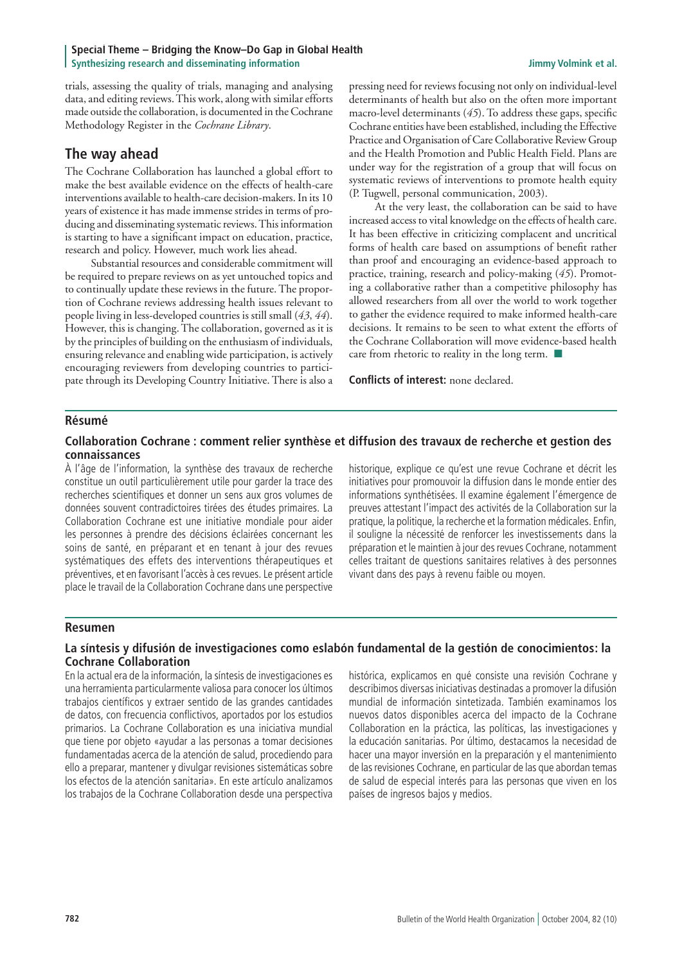### **Special Theme – Bridging the Know–Do Gap in Global Health Synthesizing research and disseminating information Synthesizing Jimmy Volmink et al. Jimmy Volmink et al.**

trials, assessing the quality of trials, managing and analysing data, and editing reviews. This work, along with similar efforts made outside the collaboration, is documented in the Cochrane Methodology Register in the *Cochrane Library*.

# **The way ahead**

The Cochrane Collaboration has launched a global effort to make the best available evidence on the effects of health-care interventions available to health-care decision-makers. In its 10 years of existence it has made immense strides in terms of producing and disseminating systematic reviews. This information is starting to have a significant impact on education, practice, research and policy. However, much work lies ahead.

Substantial resources and considerable commitment will be required to prepare reviews on as yet untouched topics and to continually update these reviews in the future. The proportion of Cochrane reviews addressing health issues relevant to people living in less-developed countries is still small (*43*, *44*). However, this is changing. The collaboration, governed as it is by the principles of building on the enthusiasm of individuals, ensuring relevance and enabling wide participation, is actively encouraging reviewers from developing countries to participate through its Developing Country Initiative. There is also a

pressing need for reviews focusing not only on individual-level determinants of health but also on the often more important macro-level determinants (*45*). To address these gaps, specific Cochrane entities have been established, including the Effective Practice and Organisation of Care Collaborative Review Group and the Health Promotion and Public Health Field. Plans are under way for the registration of a group that will focus on systematic reviews of interventions to promote health equity (P. Tugwell, personal communication, 2003).

At the very least, the collaboration can be said to have increased access to vital knowledge on the effects of health care. It has been effective in criticizing complacent and uncritical forms of health care based on assumptions of benefit rather than proof and encouraging an evidence-based approach to practice, training, research and policy-making (*45*). Promoting a collaborative rather than a competitive philosophy has allowed researchers from all over the world to work together to gather the evidence required to make informed health-care decisions. It remains to be seen to what extent the efforts of the Cochrane Collaboration will move evidence-based health care from rhetoric to reality in the long term.  $\blacksquare$ 

**Conflicts of interest:** none declared.

### **Résumé**

### **Collaboration Cochrane : comment relier synthèse et diffusion des travaux de recherche et gestion des connaissances**

À l'âge de l'information, la synthèse des travaux de recherche constitue un outil particulièrement utile pour garder la trace des recherches scientifiques et donner un sens aux gros volumes de données souvent contradictoires tirées des études primaires. La Collaboration Cochrane est une initiative mondiale pour aider les personnes à prendre des décisions éclairées concernant les soins de santé, en préparant et en tenant à jour des revues systématiques des effets des interventions thérapeutiques et préventives, et en favorisant l'accès à ces revues. Le présent article place le travail de la Collaboration Cochrane dans une perspective

historique, explique ce qu'est une revue Cochrane et décrit les initiatives pour promouvoir la diffusion dans le monde entier des informations synthétisées. Il examine également l'émergence de preuves attestant l'impact des activités de la Collaboration sur la pratique, la politique, la recherche et la formation médicales. Enfin, il souligne la nécessité de renforcer les investissements dans la préparation et le maintien à jour des revues Cochrane, notamment celles traitant de questions sanitaires relatives à des personnes vivant dans des pays à revenu faible ou moyen.

### **Resumen**

### **La síntesis y difusión de investigaciones como eslabón fundamental de la gestión de conocimientos: la Cochrane Collaboration**

En la actual era de la información, la síntesis de investigaciones es una herramienta particularmente valiosa para conocer los últimos trabajos científicos y extraer sentido de las grandes cantidades de datos, con frecuencia conflictivos, aportados por los estudios primarios. La Cochrane Collaboration es una iniciativa mundial que tiene por objeto «ayudar a las personas a tomar decisiones fundamentadas acerca de la atención de salud, procediendo para ello a preparar, mantener y divulgar revisiones sistemáticas sobre los efectos de la atención sanitaria». En este artículo analizamos los trabajos de la Cochrane Collaboration desde una perspectiva

histórica, explicamos en qué consiste una revisión Cochrane y describimos diversas iniciativas destinadas a promover la difusión mundial de información sintetizada. También examinamos los nuevos datos disponibles acerca del impacto de la Cochrane Collaboration en la práctica, las políticas, las investigaciones y la educación sanitarias. Por último, destacamos la necesidad de hacer una mayor inversión en la preparación y el mantenimiento de las revisiones Cochrane, en particular de las que abordan temas de salud de especial interés para las personas que viven en los países de ingresos bajos y medios.